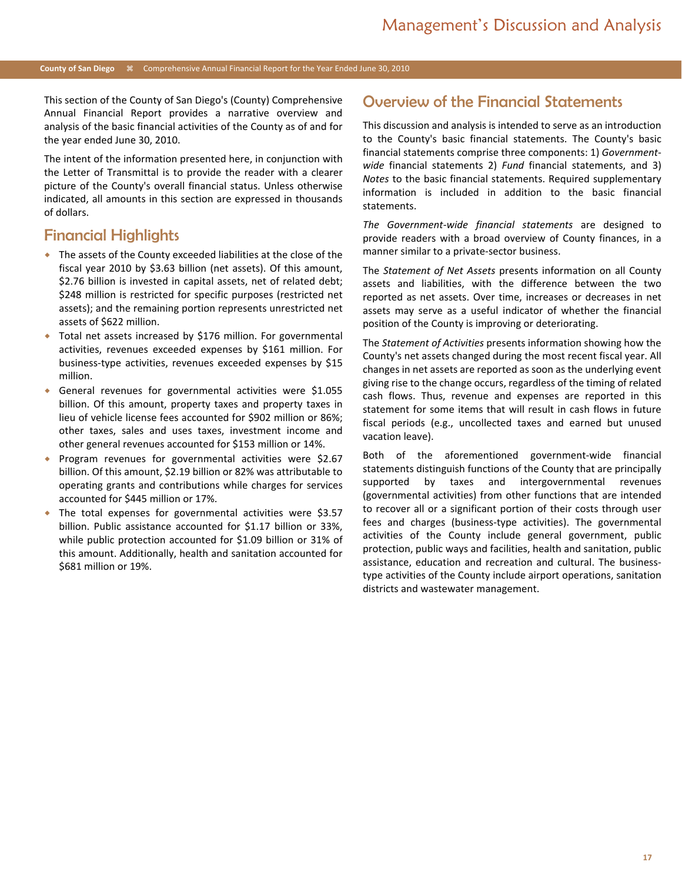This section of the County of San Diego's (County) Comprehensive Annual Financial Report provides a narrative overview and analysis of the basic financial activities of the County as of and for the year ended June 30, 2010.

The intent of the information presented here, in conjunction with the Letter of Transmittal is to provide the reader with a clearer picture of the County's overall financial status. Unless otherwise indicated, all amounts in this section are expressed in thousands of dollars.

### Financial Highlights

- The assets of the County exceeded liabilities at the close of the fiscal year 2010 by \$3.63 billion (net assets). Of this amount, \$2.76 billion is invested in capital assets, net of related debt; \$248 million is restricted for specific purposes (restricted net assets); and the remaining portion represents unrestricted net assets of \$622 million.
- Total net assets increased by \$176 million. For governmental activities, revenues exceeded expenses by \$161 million. For business-type activities, revenues exceeded expenses by \$15 million.
- General revenues for governmental activities were \$1.055 billion. Of this amount, property taxes and property taxes in lieu of vehicle license fees accounted for \$902 million or 86%; other taxes, sales and uses taxes, investment income and other general revenues accounted for \$153 million or 14%.
- Program revenues for governmental activities were \$2.67 billion. Of this amount, \$2.19 billion or 82% was attributable to operating grants and contributions while charges for services accounted for \$445 million or 17%.
- The total expenses for governmental activities were \$3.57 billion. Public assistance accounted for \$1.17 billion or 33%, while public protection accounted for \$1.09 billion or 31% of this amount. Additionally, health and sanitation accounted for \$681 million or 19%.

### Overview of the Financial Statements

This discussion and analysis is intended to serve as an introduction to the County's basic financial statements. The County's basic financial statements comprise three components: 1) *Governmentwide* financial statements 2) *Fund* financial statements, and 3) *Notes* to the basic financial statements. Required supplementary information is included in addition to the basic financial statements.

*The Government-wide financial statements* are designed to provide readers with a broad overview of County finances, in a manner similar to a private-sector business.

The *Statement of Net Assets* presents information on all County assets and liabilities, with the difference between the two reported as net assets. Over time, increases or decreases in net assets may serve as a useful indicator of whether the financial position of the County is improving or deteriorating.

The *Statement of Activities* presents information showing how the County's net assets changed during the most recent fiscal year. All changes in net assets are reported as soon as the underlying event giving rise to the change occurs, regardless of the timing of related cash flows. Thus, revenue and expenses are reported in this statement for some items that will result in cash flows in future fiscal periods (e.g., uncollected taxes and earned but unused vacation leave).

Both of the aforementioned government-wide financial statements distinguish functions of the County that are principally supported by taxes and intergovernmental revenues (governmental activities) from other functions that are intended to recover all or a significant portion of their costs through user fees and charges (business-type activities). The governmental activities of the County include general government, public protection, public ways and facilities, health and sanitation, public assistance, education and recreation and cultural. The businesstype activities of the County include airport operations, sanitation districts and wastewater management.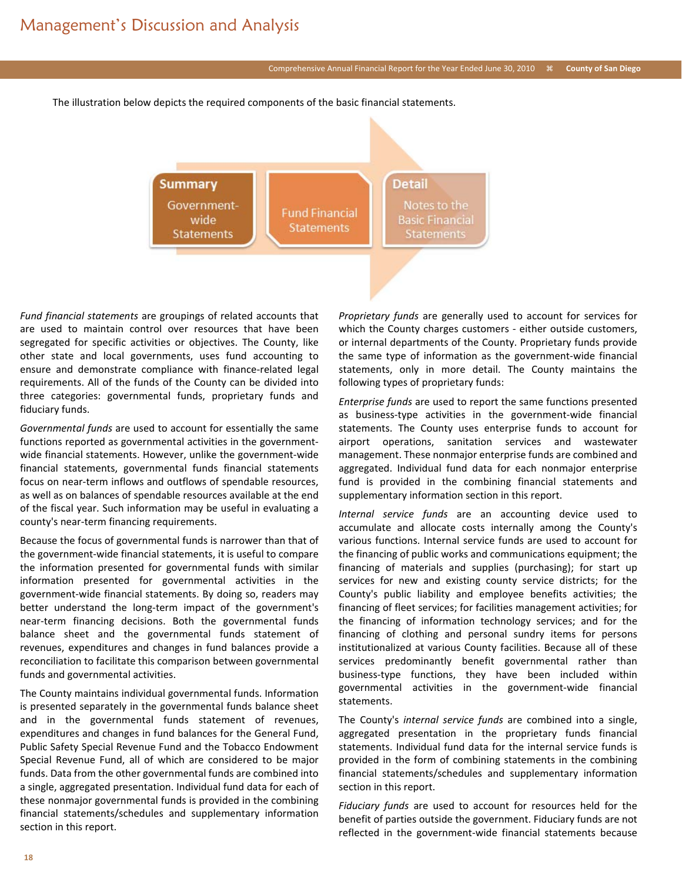#### Comprehensive Annual Financial Report for the Year Ended June 30, 2010 **County of San Diego**

The illustration below depicts the required components of the basic financial statements.



*Fund financial statements* are groupings of related accounts that are used to maintain control over resources that have been segregated for specific activities or objectives. The County, like other state and local governments, uses fund accounting to ensure and demonstrate compliance with finance-related legal requirements. All of the funds of the County can be divided into three categories: governmental funds, proprietary funds and fiduciary funds.

*Governmental funds* are used to account for essentially the same functions reported as governmental activities in the governmentwide financial statements. However, unlike the government-wide financial statements, governmental funds financial statements focus on near-term inflows and outflows of spendable resources, as well as on balances of spendable resources available at the end of the fiscal year. Such information may be useful in evaluating a county's near-term financing requirements.

Because the focus of governmental funds is narrower than that of the government-wide financial statements, it is useful to compare the information presented for governmental funds with similar information presented for governmental activities in the government-wide financial statements. By doing so, readers may better understand the long-term impact of the government's near-term financing decisions. Both the governmental funds balance sheet and the governmental funds statement of revenues, expenditures and changes in fund balances provide a reconciliation to facilitate this comparison between governmental funds and governmental activities.

The County maintains individual governmental funds. Information is presented separately in the governmental funds balance sheet and in the governmental funds statement of revenues, expenditures and changes in fund balances for the General Fund, Public Safety Special Revenue Fund and the Tobacco Endowment Special Revenue Fund, all of which are considered to be major funds. Data from the other governmental funds are combined into a single, aggregated presentation. Individual fund data for each of these nonmajor governmental funds is provided in the combining financial statements/schedules and supplementary information section in this report.

*Proprietary funds* are generally used to account for services for which the County charges customers - either outside customers, or internal departments of the County. Proprietary funds provide the same type of information as the government-wide financial statements, only in more detail. The County maintains the following types of proprietary funds:

*Enterprise funds* are used to report the same functions presented as business-type activities in the government-wide financial statements. The County uses enterprise funds to account for airport operations, sanitation services and wastewater management. These nonmajor enterprise funds are combined and aggregated. Individual fund data for each nonmajor enterprise fund is provided in the combining financial statements and supplementary information section in this report.

*Internal service funds* are an accounting device used to accumulate and allocate costs internally among the County's various functions. Internal service funds are used to account for the financing of public works and communications equipment; the financing of materials and supplies (purchasing); for start up services for new and existing county service districts; for the County's public liability and employee benefits activities; the financing of fleet services; for facilities management activities; for the financing of information technology services; and for the financing of clothing and personal sundry items for persons institutionalized at various County facilities. Because all of these services predominantly benefit governmental rather than business-type functions, they have been included within governmental activities in the government-wide financial statements.

The County's *internal service funds* are combined into a single, aggregated presentation in the proprietary funds financial statements. Individual fund data for the internal service funds is provided in the form of combining statements in the combining financial statements/schedules and supplementary information section in this report.

*Fiduciary funds* are used to account for resources held for the benefit of parties outside the government. Fiduciary funds are not reflected in the government-wide financial statements because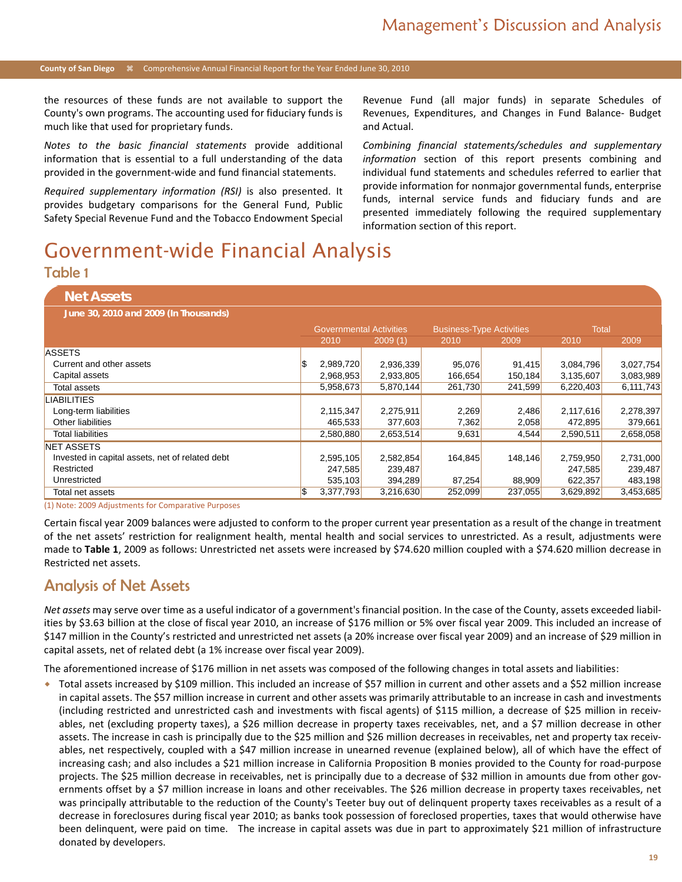the resources of these funds are not available to support the County's own programs. The accounting used for fiduciary funds is much like that used for proprietary funds.

*Notes to the basic financial statements* provide additional information that is essential to a full understanding of the data provided in the government-wide and fund financial statements.

*Required supplementary information (RSI)* is also presented. It provides budgetary comparisons for the General Fund, Public Safety Special Revenue Fund and the Tobacco Endowment Special Revenue Fund (all major funds) in separate Schedules of Revenues, Expenditures, and Changes in Fund Balance- Budget and Actual.

*Combining financial statements/schedules and supplementary information* section of this report presents combining and individual fund statements and schedules referred to earlier that provide information for nonmajor governmental funds, enterprise funds, internal service funds and fiduciary funds and are presented immediately following the required supplementary information section of this report.

# Government-wide Financial Analysis

### Table 1

#### **Net Assets**

**June 30, 2010 and 2009 (In Thousands)**

|                                                 | <b>Governmental Activities</b> |           | <b>Business-Type Activities</b> |         | Total     |           |
|-------------------------------------------------|--------------------------------|-----------|---------------------------------|---------|-----------|-----------|
|                                                 | 2010                           | 2009(1)   | 2010                            | 2009    | 2010      | 2009      |
| <b>ASSETS</b>                                   |                                |           |                                 |         |           |           |
| Current and other assets                        | 2,989,720                      | 2,936,339 | 95,076                          | 91,415  | 3,084,796 | 3,027,754 |
| Capital assets                                  | 2,968,953                      | 2,933,805 | 166,654                         | 150,184 | 3,135,607 | 3,083,989 |
| <b>Total assets</b>                             | 5,958,673                      | 5,870,144 | 261,730                         | 241,599 | 6,220,403 | 6,111,743 |
| LIABILITIES                                     |                                |           |                                 |         |           |           |
| Long-term liabilities                           | 2,115,347                      | 2,275,911 | 2,269                           | 2,486   | 2,117,616 | 2,278,397 |
| Other liabilities                               | 465,533                        | 377,603   | 7,362                           | 2,058   | 472,895   | 379,661   |
| <b>Total liabilities</b>                        | 2,580,880                      | 2,653,514 | 9,631                           | 4,544   | 2,590,511 | 2,658,058 |
| <b>NET ASSETS</b>                               |                                |           |                                 |         |           |           |
| Invested in capital assets, net of related debt | 2,595,105                      | 2,582,854 | 164,845                         | 148.146 | 2,759,950 | 2,731,000 |
| Restricted                                      | 247.585                        | 239,487   |                                 |         | 247.585   | 239,487   |
| Unrestricted                                    | 535,103                        | 394,289   | 87,254                          | 88,909  | 622,357   | 483,198   |
| Total net assets                                | \$<br>3,377,793                | 3,216,630 | 252,099                         | 237,055 | 3,629,892 | 3,453,685 |

(1) Note: 2009 Adjustments for Comparative Purposes

Certain fiscal year 2009 balances were adjusted to conform to the proper current year presentation as a result of the change in treatment of the net assets' restriction for realignment health, mental health and social services to unrestricted. As a result, adjustments were made to **Table 1**, 2009 as follows: Unrestricted net assets were increased by \$74.620 million coupled with a \$74.620 million decrease in Restricted net assets.

### Analysis of Net Assets

*Net assets* may serve over time as a useful indicator of a government's financial position. In the case of the County, assets exceeded liabilities by \$3.63 billion at the close of fiscal year 2010, an increase of \$176 million or 5% over fiscal year 2009. This included an increase of \$147 million in the County's restricted and unrestricted net assets (a 20% increase over fiscal year 2009) and an increase of \$29 million in capital assets, net of related debt (a 1% increase over fiscal year 2009).

The aforementioned increase of \$176 million in net assets was composed of the following changes in total assets and liabilities:

 Total assets increased by \$109 million. This included an increase of \$57 million in current and other assets and a \$52 million increase in capital assets. The \$57 million increase in current and other assets was primarily attributable to an increase in cash and investments (including restricted and unrestricted cash and investments with fiscal agents) of \$115 million, a decrease of \$25 million in receivables, net (excluding property taxes), a \$26 million decrease in property taxes receivables, net, and a \$7 million decrease in other assets. The increase in cash is principally due to the \$25 million and \$26 million decreases in receivables, net and property tax receivables, net respectively, coupled with a \$47 million increase in unearned revenue (explained below), all of which have the effect of increasing cash; and also includes a \$21 million increase in California Proposition B monies provided to the County for road-purpose projects. The \$25 million decrease in receivables, net is principally due to a decrease of \$32 million in amounts due from other governments offset by a \$7 million increase in loans and other receivables. The \$26 million decrease in property taxes receivables, net was principally attributable to the reduction of the County's Teeter buy out of delinquent property taxes receivables as a result of a decrease in foreclosures during fiscal year 2010; as banks took possession of foreclosed properties, taxes that would otherwise have been delinquent, were paid on time. The increase in capital assets was due in part to approximately \$21 million of infrastructure donated by developers.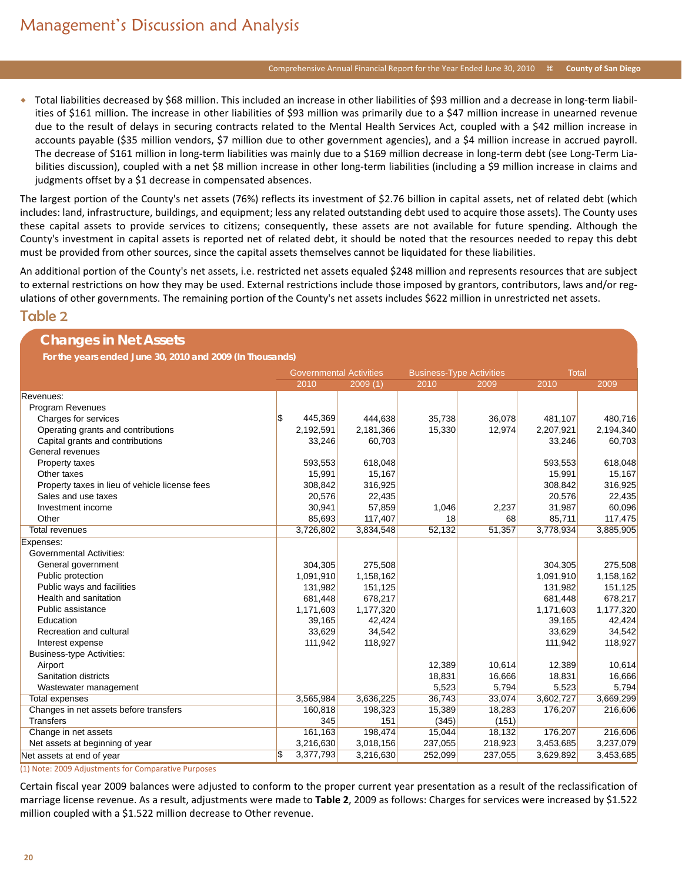#### Comprehensive Annual Financial Report for the Year Ended June 30, 2010 <sup>36</sup> County of San Diego

 Total liabilities decreased by \$68 million. This included an increase in other liabilities of \$93 million and a decrease in long-term liabilities of \$161 million. The increase in other liabilities of \$93 million was primarily due to a \$47 million increase in unearned revenue due to the result of delays in securing contracts related to the Mental Health Services Act, coupled with a \$42 million increase in accounts payable (\$35 million vendors, \$7 million due to other government agencies), and a \$4 million increase in accrued payroll. The decrease of \$161 million in long-term liabilities was mainly due to a \$169 million decrease in long-term debt (see Long-Term Liabilities discussion), coupled with a net \$8 million increase in other long-term liabilities (including a \$9 million increase in claims and judgments offset by a \$1 decrease in compensated absences.

The largest portion of the County's net assets (76%) reflects its investment of \$2.76 billion in capital assets, net of related debt (which includes: land, infrastructure, buildings, and equipment; less any related outstanding debt used to acquire those assets). The County uses these capital assets to provide services to citizens; consequently, these assets are not available for future spending. Although the County's investment in capital assets is reported net of related debt, it should be noted that the resources needed to repay this debt must be provided from other sources, since the capital assets themselves cannot be liquidated for these liabilities.

An additional portion of the County's net assets, i.e. restricted net assets equaled \$248 million and represents resources that are subject to external restrictions on how they may be used. External restrictions include those imposed by grantors, contributors, laws and/or regulations of other governments. The remaining portion of the County's net assets includes \$622 million in unrestricted net assets.

#### Table 2

| <b>Changes in Net Assets</b>                              |                                |           |                                 |         |              |           |
|-----------------------------------------------------------|--------------------------------|-----------|---------------------------------|---------|--------------|-----------|
| For the years ended June 30, 2010 and 2009 (In Thousands) |                                |           |                                 |         |              |           |
|                                                           | <b>Governmental Activities</b> |           | <b>Business-Type Activities</b> |         | <b>Total</b> |           |
|                                                           | 2010                           | 2009(1)   | 2010                            | 2009    | 2010         | 2009      |
| Revenues:                                                 |                                |           |                                 |         |              |           |
| <b>Program Revenues</b>                                   |                                |           |                                 |         |              |           |
| Charges for services                                      | \$<br>445,369                  | 444,638   | 35,738                          | 36,078  | 481,107      | 480,716   |
| Operating grants and contributions                        | 2,192,591                      | 2,181,366 | 15,330                          | 12,974  | 2,207,921    | 2,194,340 |
| Capital grants and contributions                          | 33,246                         | 60,703    |                                 |         | 33,246       | 60,703    |
| General revenues                                          |                                |           |                                 |         |              |           |
| Property taxes                                            | 593,553                        | 618,048   |                                 |         | 593,553      | 618,048   |
| Other taxes                                               | 15,991                         | 15,167    |                                 |         | 15,991       | 15,167    |
| Property taxes in lieu of vehicle license fees            | 308,842                        | 316,925   |                                 |         | 308,842      | 316,925   |
| Sales and use taxes                                       | 20,576                         | 22,435    |                                 |         | 20,576       | 22,435    |
| Investment income                                         | 30,941                         | 57,859    | 1,046                           | 2,237   | 31,987       | 60,096    |
| Other                                                     | 85,693                         | 117,407   | 18                              | 68      | 85,711       | 117,475   |
| <b>Total revenues</b>                                     | 3,726,802                      | 3,834,548 | 52,132                          | 51,357  | 3,778,934    | 3,885,905 |
| Expenses:                                                 |                                |           |                                 |         |              |           |
| <b>Governmental Activities:</b>                           |                                |           |                                 |         |              |           |
| General government                                        | 304,305                        | 275,508   |                                 |         | 304,305      | 275,508   |
| Public protection                                         | 1,091,910                      | 1,158,162 |                                 |         | 1,091,910    | 1,158,162 |
| Public ways and facilities                                | 131,982                        | 151,125   |                                 |         | 131,982      | 151,125   |
| Health and sanitation                                     | 681,448                        | 678,217   |                                 |         | 681,448      | 678,217   |
| Public assistance                                         | 1,171,603                      | 1,177,320 |                                 |         | 1,171,603    | 1,177,320 |
| Education                                                 | 39,165                         | 42,424    |                                 |         | 39,165       | 42,424    |
| Recreation and cultural                                   | 33,629                         | 34,542    |                                 |         | 33,629       | 34,542    |
| Interest expense                                          | 111,942                        | 118,927   |                                 |         | 111,942      | 118,927   |
| <b>Business-type Activities:</b>                          |                                |           |                                 |         |              |           |
| Airport                                                   |                                |           | 12,389                          | 10,614  | 12,389       | 10,614    |
| Sanitation districts                                      |                                |           | 18,831                          | 16,666  | 18,831       | 16,666    |
| Wastewater management                                     |                                |           | 5,523                           | 5,794   | 5,523        | 5,794     |
| Total expenses                                            | 3,565,984                      | 3,636,225 | 36,743                          | 33,074  | 3,602,727    | 3,669,299 |
| Changes in net assets before transfers                    | 160,818                        | 198,323   | 15,389                          | 18,283  | 176,207      | 216,606   |
| <b>Transfers</b>                                          | 345                            | 151       | (345)                           | (151)   |              |           |
| Change in net assets                                      | 161,163                        | 198,474   | 15,044                          | 18,132  | 176,207      | 216,606   |
| Net assets at beginning of year                           | 3,216,630                      | 3,018,156 | 237,055                         | 218,923 | 3,453,685    | 3,237,079 |
| Net assets at end of year                                 | S)<br>3,377,793                | 3,216,630 | 252,099                         | 237,055 | 3,629,892    | 3,453,685 |

(1) Note: 2009 Adjustments for Comparative Purposes

Certain fiscal year 2009 balances were adjusted to conform to the proper current year presentation as a result of the reclassification of marriage license revenue. As a result, adjustments were made to **Table 2**, 2009 as follows: Charges for services were increased by \$1.522 million coupled with a \$1.522 million decrease to Other revenue.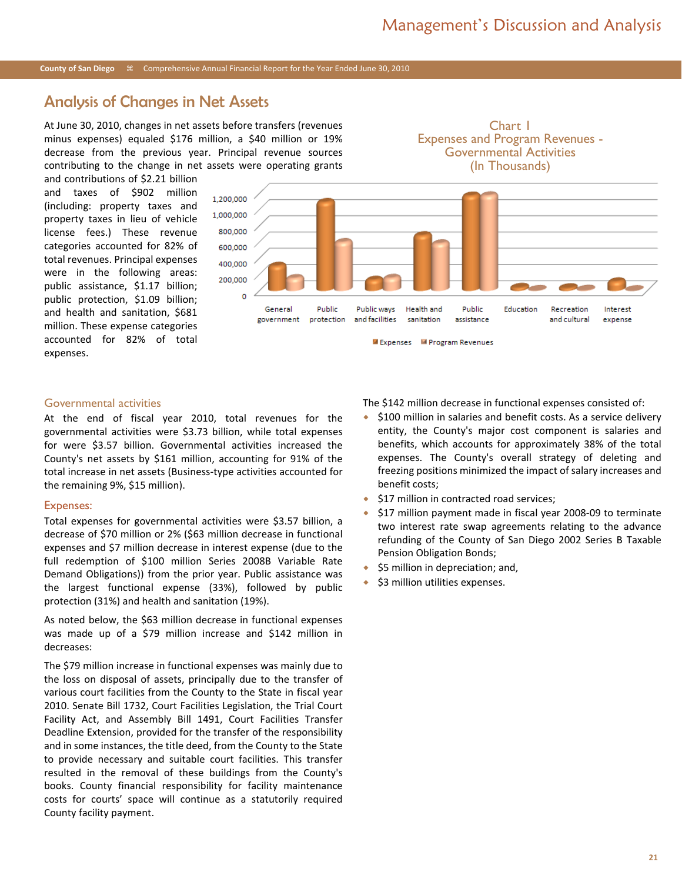Chart 1 Expenses and Program Revenues -

#### **County of San Diego** Comprehensive Annual Financial Report for the Year Ended June 30, 2010

### Analysis of Changes in Net Assets

At June 30, 2010, changes in net assets before transfers (revenues minus expenses) equaled \$176 million, a \$40 million or 19% decrease from the previous year. Principal revenue sources contributing to the change in net assets were operating grants

and contributions of \$2.21 billion and taxes of \$902 million (including: property taxes and property taxes in lieu of vehicle license fees.) These revenue categories accounted for 82% of total revenues. Principal expenses were in the following areas: public assistance, \$1.17 billion; public protection, \$1.09 billion; and health and sanitation, \$681 million. These expense categories accounted for 82% of total expenses.



#### Governmental activities

At the end of fiscal year 2010, total revenues for the governmental activities were \$3.73 billion, while total expenses for were \$3.57 billion. Governmental activities increased the County's net assets by \$161 million, accounting for 91% of the total increase in net assets (Business-type activities accounted for the remaining 9%, \$15 million).

#### Expenses:

Total expenses for governmental activities were \$3.57 billion, a decrease of \$70 million or 2% (\$63 million decrease in functional expenses and \$7 million decrease in interest expense (due to the full redemption of \$100 million Series 2008B Variable Rate Demand Obligations)) from the prior year. Public assistance was the largest functional expense (33%), followed by public protection (31%) and health and sanitation (19%).

As noted below, the \$63 million decrease in functional expenses was made up of a \$79 million increase and \$142 million in decreases:

The \$79 million increase in functional expenses was mainly due to the loss on disposal of assets, principally due to the transfer of various court facilities from the County to the State in fiscal year 2010. Senate Bill 1732, Court Facilities Legislation, the Trial Court Facility Act, and Assembly Bill 1491, Court Facilities Transfer Deadline Extension, provided for the transfer of the responsibility and in some instances, the title deed, from the County to the State to provide necessary and suitable court facilities. This transfer resulted in the removal of these buildings from the County's books. County financial responsibility for facility maintenance costs for courts' space will continue as a statutorily required County facility payment.

The \$142 million decrease in functional expenses consisted of:

- $\div$  \$100 million in salaries and benefit costs. As a service delivery entity, the County's major cost component is salaries and benefits, which accounts for approximately 38% of the total expenses. The County's overall strategy of deleting and freezing positions minimized the impact of salary increases and benefit costs;
- ◆ \$17 million in contracted road services;
- \$17 million payment made in fiscal year 2008-09 to terminate two interest rate swap agreements relating to the advance refunding of the County of San Diego 2002 Series B Taxable Pension Obligation Bonds;
- \$5 million in depreciation; and,
- \$3 million utilities expenses.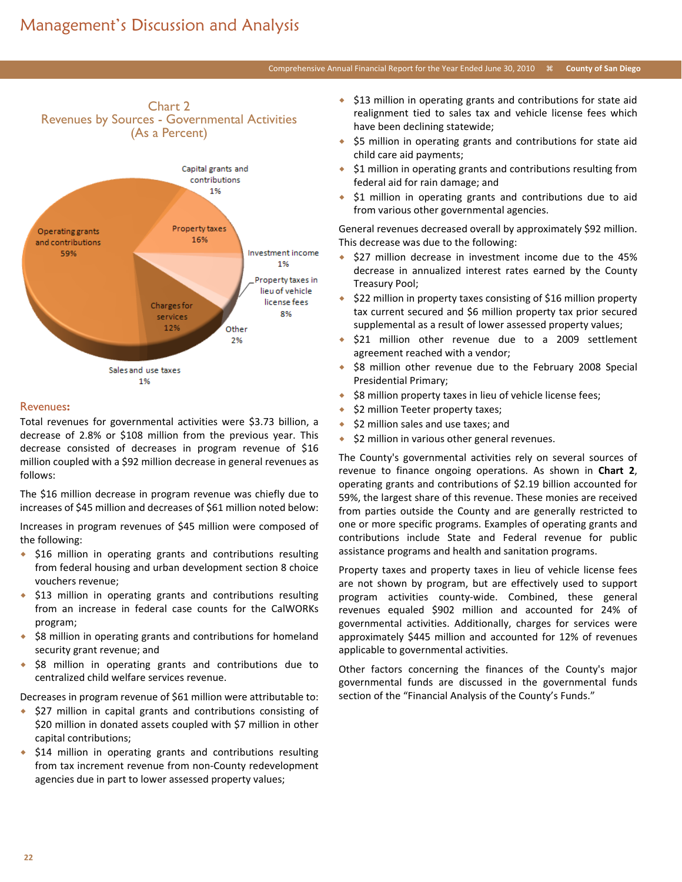# Management's Discussion and Analysis

Chart 2

#### Comprehensive Annual Financial Report for the Year Ended June 30, 2010  $\#$  County of San Diego



#### Revenues**:**

Total revenues for governmental activities were \$3.73 billion, a decrease of 2.8% or \$108 million from the previous year. This decrease consisted of decreases in program revenue of \$16 million coupled with a \$92 million decrease in general revenues as follows:

The \$16 million decrease in program revenue was chiefly due to increases of \$45 million and decreases of \$61 million noted below:

Increases in program revenues of \$45 million were composed of the following:

- \$16 million in operating grants and contributions resulting from federal housing and urban development section 8 choice vouchers revenue;
- $\div$  \$13 million in operating grants and contributions resulting from an increase in federal case counts for the CalWORKs program;
- ◆ \$8 million in operating grants and contributions for homeland security grant revenue; and
- $\div$  \$8 million in operating grants and contributions due to centralized child welfare services revenue.

Decreases in program revenue of \$61 million were attributable to:

- ◆ \$27 million in capital grants and contributions consisting of \$20 million in donated assets coupled with \$7 million in other capital contributions;
- $\div$  \$14 million in operating grants and contributions resulting from tax increment revenue from non-County redevelopment agencies due in part to lower assessed property values;
- $\div$  \$13 million in operating grants and contributions for state aid realignment tied to sales tax and vehicle license fees which have been declining statewide;
- \$5 million in operating grants and contributions for state aid child care aid payments;
- ◆ \$1 million in operating grants and contributions resulting from federal aid for rain damage; and
- \$1 million in operating grants and contributions due to aid from various other governmental agencies.

General revenues decreased overall by approximately \$92 million. This decrease was due to the following:

- \$27 million decrease in investment income due to the 45% decrease in annualized interest rates earned by the County Treasury Pool;
- \$22 million in property taxes consisting of \$16 million property tax current secured and \$6 million property tax prior secured supplemental as a result of lower assessed property values;
- \$21 million other revenue due to a 2009 settlement agreement reached with a vendor;
- \$8 million other revenue due to the February 2008 Special Presidential Primary;
- \$8 million property taxes in lieu of vehicle license fees;
- \$2 million Teeter property taxes;
- $\div$  \$2 million sales and use taxes; and
- $\triangleq$  \$2 million in various other general revenues.

The County's governmental activities rely on several sources of revenue to finance ongoing operations. As shown in **Chart 2**, operating grants and contributions of \$2.19 billion accounted for 59%, the largest share of this revenue. These monies are received from parties outside the County and are generally restricted to one or more specific programs. Examples of operating grants and contributions include State and Federal revenue for public assistance programs and health and sanitation programs.

Property taxes and property taxes in lieu of vehicle license fees are not shown by program, but are effectively used to support program activities county-wide. Combined, these general revenues equaled \$902 million and accounted for 24% of governmental activities. Additionally, charges for services were approximately \$445 million and accounted for 12% of revenues applicable to governmental activities.

Other factors concerning the finances of the County's major governmental funds are discussed in the governmental funds section of the "Financial Analysis of the County's Funds."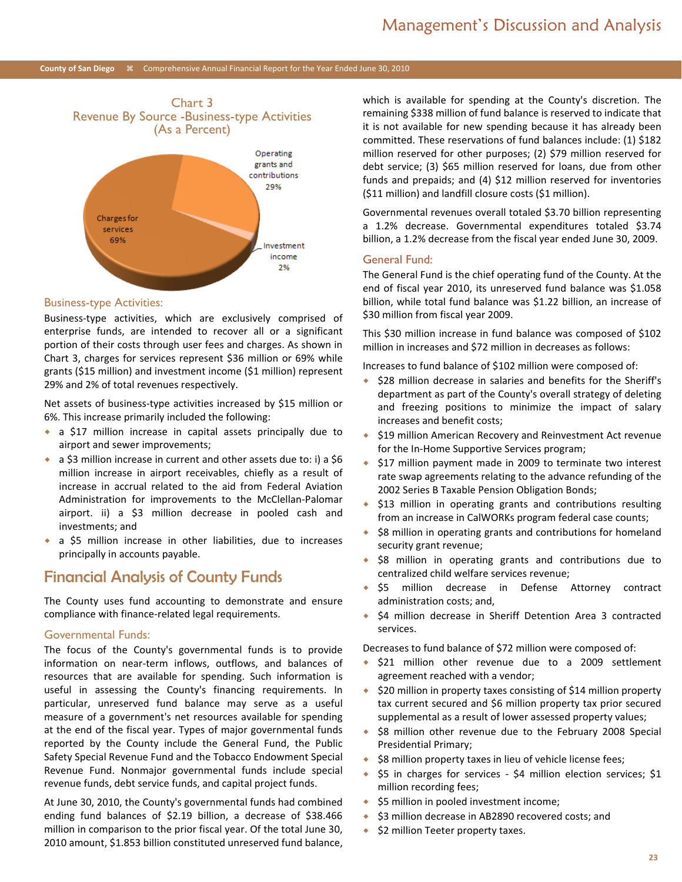

#### Business-type Activities:

Business-type activities, which are exclusively comprised of enterprise funds, are intended to recover all or a significant portion of their costs through user fees and charges. As shown in Chart 3, charges for services represent \$36 million or 69% while grants (\$15 million) and investment income (\$1 million) represent 29% and 2% of total revenues respectively.

Net assets of business-type activities increased by \$15 million or 6%. This increase primarily included the following:

- a \$17 million increase in capital assets principally due to airport and sewer improvements;
- a \$3 million increase in current and other assets due to: i) a \$6 million increase in airport receivables, chiefly as a result of increase in accrual related to the aid from Federal Aviation Administration for improvements to the McClellan-Palomar airport. ii) a \$3 million decrease in pooled cash and investments; and
- a \$5 million increase in other liabilities, due to increases principally in accounts payable.

### Financial Analysis of County Funds

The County uses fund accounting to demonstrate and ensure compliance with finance-related legal requirements.

#### Governmental Funds:

The focus of the County's governmental funds is to provide information on near-term inflows, outflows, and balances of resources that are available for spending. Such information is useful in assessing the County's financing requirements. In particular, unreserved fund balance may serve as a useful measure of a government's net resources available for spending at the end of the fiscal year. Types of major governmental funds reported by the County include the General Fund, the Public Safety Special Revenue Fund and the Tobacco Endowment Special Revenue Fund. Nonmajor governmental funds include special revenue funds, debt service funds, and capital project funds.

At June 30, 2010, the County's governmental funds had combined ending fund balances of \$2.19 billion, a decrease of \$38.466 million in comparison to the prior fiscal year. Of the total June 30, 2010 amount, \$1.853 billion constituted unreserved fund balance, which is available for spending at the County's discretion. The remaining \$338 million of fund balance is reserved to indicate that it is not available for new spending because it has already been committed. These reservations of fund balances include: (1) \$182 million reserved for other purposes; (2) \$79 million reserved for debt service; (3) \$65 million reserved for loans, due from other funds and prepaids; and (4) \$12 million reserved for inventories (\$11 million) and landfill closure costs (\$1 million).

Governmental revenues overall totaled \$3.70 billion representing a 1.2% decrease. Governmental expenditures totaled \$3.74 billion, a 1.2% decrease from the fiscal year ended June 30, 2009.

#### General Fund:

The General Fund is the chief operating fund of the County. At the end of fiscal year 2010, its unreserved fund balance was \$1.058 billion, while total fund balance was \$1.22 billion, an increase of \$30 million from fiscal year 2009.

This \$30 million increase in fund balance was composed of \$102 million in increases and \$72 million in decreases as follows:

Increases to fund balance of \$102 million were composed of:

- ◆ \$28 million decrease in salaries and benefits for the Sheriff's department as part of the County's overall strategy of deleting and freezing positions to minimize the impact of salary increases and benefit costs;
- \$19 million American Recovery and Reinvestment Act revenue for the In-Home Supportive Services program;
- ◆ \$17 million payment made in 2009 to terminate two interest rate swap agreements relating to the advance refunding of the 2002 Series B Taxable Pension Obligation Bonds;
- \$13 million in operating grants and contributions resulting from an increase in CalWORKs program federal case counts;
- \$8 million in operating grants and contributions for homeland security grant revenue;
- \$8 million in operating grants and contributions due to centralized child welfare services revenue;
- \$5 million decrease in Defense Attorney contract administration costs; and,
- \$4 million decrease in Sheriff Detention Area 3 contracted services.

Decreases to fund balance of \$72 million were composed of:

- ◆ \$21 million other revenue due to a 2009 settlement agreement reached with a vendor;
- $\div$  \$20 million in property taxes consisting of \$14 million property tax current secured and \$6 million property tax prior secured supplemental as a result of lower assessed property values;
- ◆ \$8 million other revenue due to the February 2008 Special Presidential Primary;
- ◆ \$8 million property taxes in lieu of vehicle license fees;
- $\div$  \$5 in charges for services \$4 million election services; \$1 million recording fees;
- ◆ \$5 million in pooled investment income;
- ◆ \$3 million decrease in AB2890 recovered costs; and
- $\div$  \$2 million Teeter property taxes.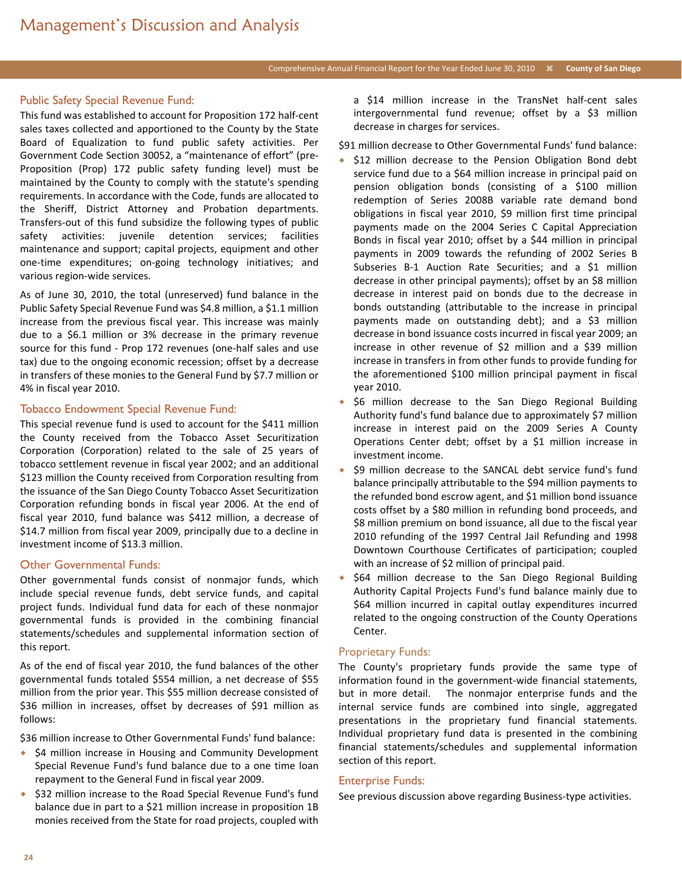#### Public Safety Special Revenue Fund:

This fund was established to account for Proposition 172 half-cent sales taxes collected and apportioned to the County by the State Board of Equalization to fund public safety activities. Per Government Code Section 30052, a "maintenance of effort" (pre-Proposition (Prop) 172 public safety funding level) must be maintained by the County to comply with the statute's spending requirements. In accordance with the Code, funds are allocated to the Sheriff, District Attorney and Probation departments. Transfers-out of this fund subsidize the following types of public safety activities: juvenile detention services; facilities maintenance and support; capital projects, equipment and other one-time expenditures; on-going technology initiatives; and various region-wide services.

As of June 30, 2010, the total (unreserved) fund balance in the Public Safety Special Revenue Fund was \$4.8 million, a \$1.1 million increase from the previous fiscal year. This increase was mainly due to a \$6.1 million or 3% decrease in the primary revenue source for this fund - Prop 172 revenues (one-half sales and use tax) due to the ongoing economic recession; offset by a decrease in transfers of these monies to the General Fund by \$7.7 million or 4% in fiscal year 2010.

#### Tobacco Endowment Special Revenue Fund:

This special revenue fund is used to account for the \$411 million the County received from the Tobacco Asset Securitization Corporation (Corporation) related to the sale of 25 years of tobacco settlement revenue in fiscal year 2002; and an additional \$123 million the County received from Corporation resulting from the issuance of the San Diego County Tobacco Asset Securitization Corporation refunding bonds in fiscal year 2006. At the end of fiscal year 2010, fund balance was \$412 million, a decrease of \$14.7 million from fiscal year 2009, principally due to a decline in investment income of \$13.3 million.

#### Other Governmental Funds:

Other governmental funds consist of nonmajor funds, which include special revenue funds, debt service funds, and capital project funds. Individual fund data for each of these nonmajor governmental funds is provided in the combining financial statements/schedules and supplemental information section of this report.

As of the end of fiscal year 2010, the fund balances of the other governmental funds totaled \$554 million, a net decrease of \$55 million from the prior year. This \$55 million decrease consisted of \$36 million in increases, offset by decreases of \$91 million as follows:

\$36 million increase to Other Governmental Funds' fund balance:

- ◆ \$4 million increase in Housing and Community Development Special Revenue Fund's fund balance due to a one time loan repayment to the General Fund in fiscal year 2009.
- ◆ \$32 million increase to the Road Special Revenue Fund's fund balance due in part to a \$21 million increase in proposition 1B monies received from the State for road projects, coupled with

a \$14 million increase in the TransNet half-cent sales intergovernmental fund revenue; offset by a \$3 million decrease in charges for services.

\$91 million decrease to Other Governmental Funds' fund balance:

- \$12 million decrease to the Pension Obligation Bond debt service fund due to a \$64 million increase in principal paid on pension obligation bonds (consisting of a \$100 million redemption of Series 2008B variable rate demand bond obligations in fiscal year 2010, \$9 million first time principal payments made on the 2004 Series C Capital Appreciation Bonds in fiscal year 2010; offset by a \$44 million in principal payments in 2009 towards the refunding of 2002 Series B Subseries B-1 Auction Rate Securities; and a \$1 million decrease in other principal payments); offset by an \$8 million decrease in interest paid on bonds due to the decrease in bonds outstanding (attributable to the increase in principal payments made on outstanding debt); and a \$3 million decrease in bond issuance costs incurred in fiscal year 2009; an increase in other revenue of \$2 million and a \$39 million increase in transfers in from other funds to provide funding for the aforementioned \$100 million principal payment in fiscal year 2010.
- $\bullet$  \$6 million decrease to the San Diego Regional Building Authority fund's fund balance due to approximately \$7 million increase in interest paid on the 2009 Series A County Operations Center debt; offset by a \$1 million increase in investment income.
- \$9 million decrease to the SANCAL debt service fund's fund balance principally attributable to the \$94 million payments to the refunded bond escrow agent, and \$1 million bond issuance costs offset by a \$80 million in refunding bond proceeds, and \$8 million premium on bond issuance, all due to the fiscal year 2010 refunding of the 1997 Central Jail Refunding and 1998 Downtown Courthouse Certificates of participation; coupled with an increase of \$2 million of principal paid.
- \$64 million decrease to the San Diego Regional Building Authority Capital Projects Fund's fund balance mainly due to \$64 million incurred in capital outlay expenditures incurred related to the ongoing construction of the County Operations Center.

#### Proprietary Funds:

The County's proprietary funds provide the same type of information found in the government-wide financial statements, but in more detail. The nonmajor enterprise funds and the internal service funds are combined into single, aggregated presentations in the proprietary fund financial statements. Individual proprietary fund data is presented in the combining financial statements/schedules and supplemental information section of this report.

#### Enterprise Funds:

See previous discussion above regarding Business-type activities.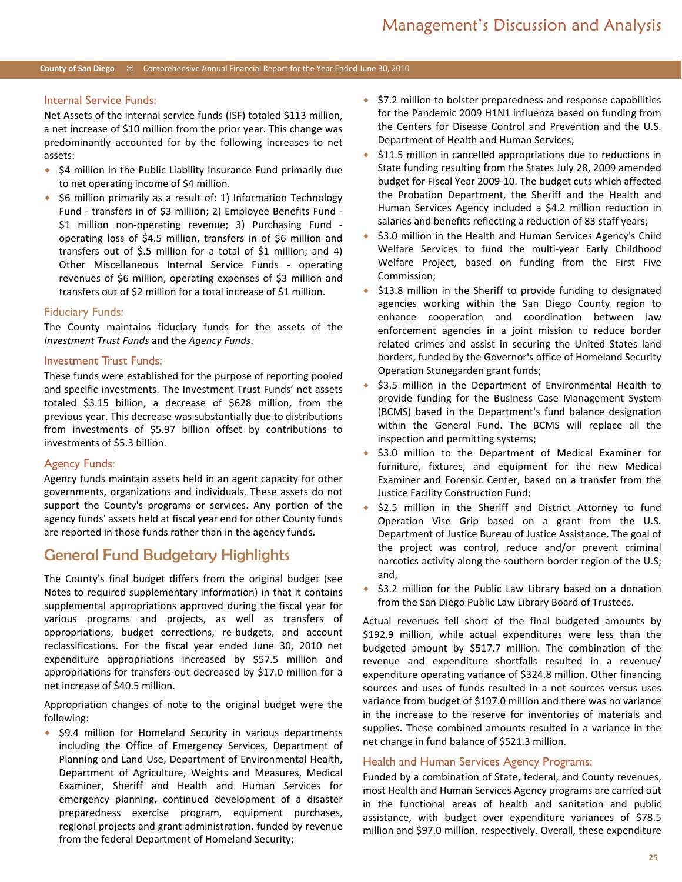#### Internal Service Funds:

Net Assets of the internal service funds (ISF) totaled \$113 million, a net increase of \$10 million from the prior year. This change was predominantly accounted for by the following increases to net assets:

- $\div$  \$4 million in the Public Liability Insurance Fund primarily due to net operating income of \$4 million.
- $\bullet$  \$6 million primarily as a result of: 1) Information Technology Fund - transfers in of \$3 million; 2) Employee Benefits Fund - \$1 million non-operating revenue; 3) Purchasing Fund operating loss of \$4.5 million, transfers in of \$6 million and transfers out of \$.5 million for a total of \$1 million; and 4) Other Miscellaneous Internal Service Funds - operating revenues of \$6 million, operating expenses of \$3 million and transfers out of \$2 million for a total increase of \$1 million.

#### Fiduciary Funds:

The County maintains fiduciary funds for the assets of the *Investment Trust Funds* and the *Agency Funds*.

#### Investment Trust Funds:

These funds were established for the purpose of reporting pooled and specific investments. The Investment Trust Funds' net assets totaled \$3.15 billion, a decrease of \$628 million, from the previous year. This decrease was substantially due to distributions from investments of \$5.97 billion offset by contributions to investments of \$5.3 billion.

#### Agency Funds*:*

Agency funds maintain assets held in an agent capacity for other governments, organizations and individuals. These assets do not support the County's programs or services. Any portion of the agency funds' assets held at fiscal year end for other County funds are reported in those funds rather than in the agency funds.

### General Fund Budgetary Highlights

The County's final budget differs from the original budget (see Notes to required supplementary information) in that it contains supplemental appropriations approved during the fiscal year for various programs and projects, as well as transfers of appropriations, budget corrections, re-budgets, and account reclassifications. For the fiscal year ended June 30, 2010 net expenditure appropriations increased by \$57.5 million and appropriations for transfers-out decreased by \$17.0 million for a net increase of \$40.5 million.

Appropriation changes of note to the original budget were the following:

◆ \$9.4 million for Homeland Security in various departments including the Office of Emergency Services, Department of Planning and Land Use, Department of Environmental Health, Department of Agriculture, Weights and Measures, Medical Examiner, Sheriff and Health and Human Services for emergency planning, continued development of a disaster preparedness exercise program, equipment purchases, regional projects and grant administration, funded by revenue from the federal Department of Homeland Security;

- $\div$  \$7.2 million to bolster preparedness and response capabilities for the Pandemic 2009 H1N1 influenza based on funding from the Centers for Disease Control and Prevention and the U.S. Department of Health and Human Services;
- $\div$  \$11.5 million in cancelled appropriations due to reductions in State funding resulting from the States July 28, 2009 amended budget for Fiscal Year 2009-10. The budget cuts which affected the Probation Department, the Sheriff and the Health and Human Services Agency included a \$4.2 million reduction in salaries and benefits reflecting a reduction of 83 staff years;
- \$3.0 million in the Health and Human Services Agency's Child Welfare Services to fund the multi-year Early Childhood Welfare Project, based on funding from the First Five Commission;
- $\div$  \$13.8 million in the Sheriff to provide funding to designated agencies working within the San Diego County region to enhance cooperation and coordination between law enforcement agencies in a joint mission to reduce border related crimes and assist in securing the United States land borders, funded by the Governor's office of Homeland Security Operation Stonegarden grant funds;
- \$3.5 million in the Department of Environmental Health to provide funding for the Business Case Management System (BCMS) based in the Department's fund balance designation within the General Fund. The BCMS will replace all the inspection and permitting systems;
- ◆ \$3.0 million to the Department of Medical Examiner for furniture, fixtures, and equipment for the new Medical Examiner and Forensic Center, based on a transfer from the Justice Facility Construction Fund;
- \$2.5 million in the Sheriff and District Attorney to fund Operation Vise Grip based on a grant from the U.S. Department of Justice Bureau of Justice Assistance. The goal of the project was control, reduce and/or prevent criminal narcotics activity along the southern border region of the U.S; and,
- \$3.2 million for the Public Law Library based on a donation from the San Diego Public Law Library Board of Trustees.

Actual revenues fell short of the final budgeted amounts by \$192.9 million, while actual expenditures were less than the budgeted amount by \$517.7 million. The combination of the revenue and expenditure shortfalls resulted in a revenue/ expenditure operating variance of \$324.8 million. Other financing sources and uses of funds resulted in a net sources versus uses variance from budget of \$197.0 million and there was no variance in the increase to the reserve for inventories of materials and supplies. These combined amounts resulted in a variance in the net change in fund balance of \$521.3 million.

#### Health and Human Services Agency Programs:

Funded by a combination of State, federal, and County revenues, most Health and Human Services Agency programs are carried out in the functional areas of health and sanitation and public assistance, with budget over expenditure variances of \$78.5 million and \$97.0 million, respectively. Overall, these expenditure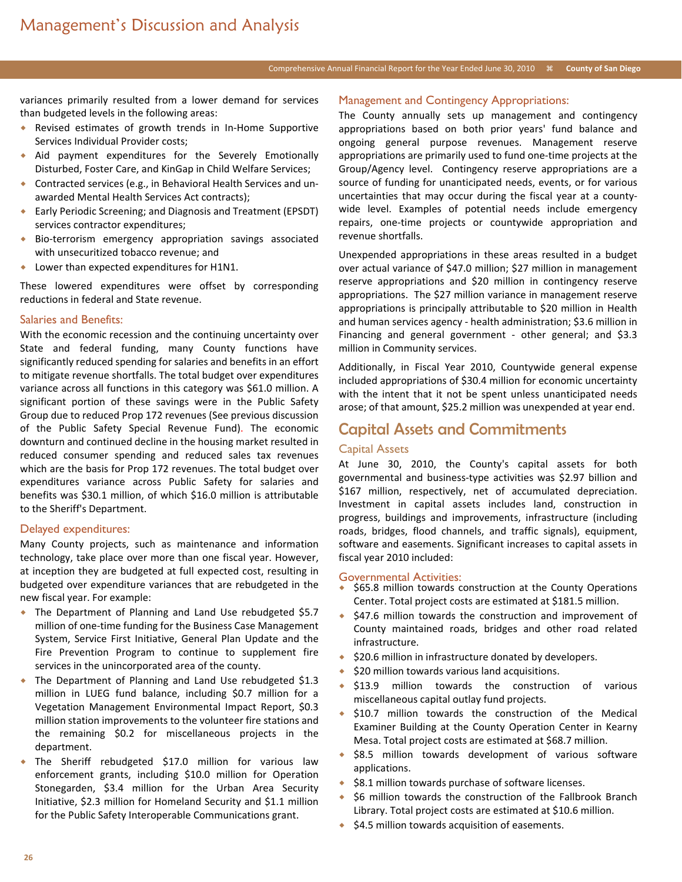#### Comprehensive Annual Financial Report for the Year Ended June 30, 2010 <sup>#</sup> County of San Diego

variances primarily resulted from a lower demand for services than budgeted levels in the following areas:

- Revised estimates of growth trends in In-Home Supportive Services Individual Provider costs;
- Aid payment expenditures for the Severely Emotionally Disturbed, Foster Care, and KinGap in Child Welfare Services;
- Contracted services (e.g., in Behavioral Health Services and unawarded Mental Health Services Act contracts);
- Early Periodic Screening; and Diagnosis and Treatment (EPSDT) services contractor expenditures;
- Bio-terrorism emergency appropriation savings associated with unsecuritized tobacco revenue; and
- ◆ Lower than expected expenditures for H1N1.

These lowered expenditures were offset by corresponding reductions in federal and State revenue.

#### Salaries and Benefits:

With the economic recession and the continuing uncertainty over State and federal funding, many County functions have significantly reduced spending for salaries and benefits in an effort to mitigate revenue shortfalls. The total budget over expenditures variance across all functions in this category was \$61.0 million. A significant portion of these savings were in the Public Safety Group due to reduced Prop 172 revenues (See previous discussion of the Public Safety Special Revenue Fund). The economic downturn and continued decline in the housing market resulted in reduced consumer spending and reduced sales tax revenues which are the basis for Prop 172 revenues. The total budget over expenditures variance across Public Safety for salaries and benefits was \$30.1 million, of which \$16.0 million is attributable to the Sheriff's Department.

#### Delayed expenditures:

Many County projects, such as maintenance and information technology, take place over more than one fiscal year. However, at inception they are budgeted at full expected cost, resulting in budgeted over expenditure variances that are rebudgeted in the new fiscal year. For example:

- The Department of Planning and Land Use rebudgeted \$5.7 million of one-time funding for the Business Case Management System, Service First Initiative, General Plan Update and the Fire Prevention Program to continue to supplement fire services in the unincorporated area of the county.
- The Department of Planning and Land Use rebudgeted \$1.3 million in LUEG fund balance, including \$0.7 million for a Vegetation Management Environmental Impact Report, \$0.3 million station improvements to the volunteer fire stations and the remaining \$0.2 for miscellaneous projects in the department.
- The Sheriff rebudgeted \$17.0 million for various law enforcement grants, including \$10.0 million for Operation Stonegarden, \$3.4 million for the Urban Area Security Initiative, \$2.3 million for Homeland Security and \$1.1 million for the Public Safety Interoperable Communications grant.

#### Management and Contingency Appropriations:

The County annually sets up management and contingency appropriations based on both prior years' fund balance and ongoing general purpose revenues. Management reserve appropriations are primarily used to fund one-time projects at the Group/Agency level. Contingency reserve appropriations are a source of funding for unanticipated needs, events, or for various uncertainties that may occur during the fiscal year at a countywide level. Examples of potential needs include emergency repairs, one-time projects or countywide appropriation and revenue shortfalls.

Unexpended appropriations in these areas resulted in a budget over actual variance of \$47.0 million; \$27 million in management reserve appropriations and \$20 million in contingency reserve appropriations. The \$27 million variance in management reserve appropriations is principally attributable to \$20 million in Health and human services agency - health administration; \$3.6 million in Financing and general government - other general; and \$3.3 million in Community services.

Additionally, in Fiscal Year 2010, Countywide general expense included appropriations of \$30.4 million for economic uncertainty with the intent that it not be spent unless unanticipated needs arose; of that amount, \$25.2 million was unexpended at year end.

### Capital Assets and Commitments

#### Capital Assets

At June 30, 2010, the County's capital assets for both governmental and business-type activities was \$2.97 billion and \$167 million, respectively, net of accumulated depreciation. Investment in capital assets includes land, construction in progress, buildings and improvements, infrastructure (including roads, bridges, flood channels, and traffic signals), equipment, software and easements. Significant increases to capital assets in fiscal year 2010 included:

#### Governmental Activities:

- \$65.8 million towards construction at the County Operations Center. Total project costs are estimated at \$181.5 million.
- \$47.6 million towards the construction and improvement of County maintained roads, bridges and other road related infrastructure.
- $\div$  \$20.6 million in infrastructure donated by developers.
- \$20 million towards various land acquisitions.
- $\triangle$  \$13.9 million towards the construction of various miscellaneous capital outlay fund projects.
- \$10.7 million towards the construction of the Medical Examiner Building at the County Operation Center in Kearny Mesa. Total project costs are estimated at \$68.7 million.
- ◆ \$8.5 million towards development of various software applications.
- \$8.1 million towards purchase of software licenses.
- \$6 million towards the construction of the Fallbrook Branch Library. Total project costs are estimated at \$10.6 million.
- $\div$  \$4.5 million towards acquisition of easements.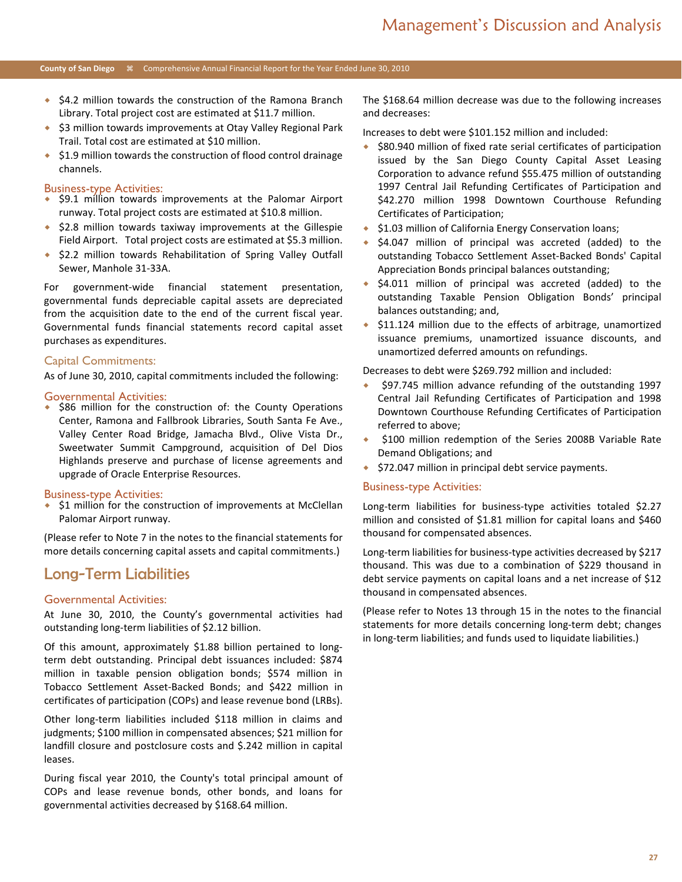- $\bullet$  \$4.2 million towards the construction of the Ramona Branch Library. Total project cost are estimated at \$11.7 million.
- ◆ \$3 million towards improvements at Otay Valley Regional Park Trail. Total cost are estimated at \$10 million.
- ◆ \$1.9 million towards the construction of flood control drainage channels.

#### Business-type Activities:

- $\bullet$  \$9.1 million towards improvements at the Palomar Airport runway. Total project costs are estimated at \$10.8 million.
- $\div$  \$2.8 million towards taxiway improvements at the Gillespie Field Airport. Total project costs are estimated at \$5.3 million.
- ◆ \$2.2 million towards Rehabilitation of Spring Valley Outfall Sewer, Manhole 31-33A.

For government-wide financial statement presentation, governmental funds depreciable capital assets are depreciated from the acquisition date to the end of the current fiscal year. Governmental funds financial statements record capital asset purchases as expenditures.

#### Capital Commitments:

As of June 30, 2010, capital commitments included the following:

#### Governmental Activities:

\$86 million for the construction of: the County Operations Center, Ramona and Fallbrook Libraries, South Santa Fe Ave., Valley Center Road Bridge, Jamacha Blvd., Olive Vista Dr., Sweetwater Summit Campground, acquisition of Del Dios Highlands preserve and purchase of license agreements and upgrade of Oracle Enterprise Resources.

#### Business-type Activities:

\$1 million for the construction of improvements at McClellan Palomar Airport runway.

(Please refer to Note 7 in the notes to the financial statements for more details concerning capital assets and capital commitments.)

### Long-Term Liabilities

#### Governmental Activities:

At June 30, 2010, the County's governmental activities had outstanding long-term liabilities of \$2.12 billion.

Of this amount, approximately \$1.88 billion pertained to longterm debt outstanding. Principal debt issuances included: \$874 million in taxable pension obligation bonds; \$574 million in Tobacco Settlement Asset-Backed Bonds; and \$422 million in certificates of participation (COPs) and lease revenue bond (LRBs).

Other long-term liabilities included \$118 million in claims and judgments; \$100 million in compensated absences; \$21 million for landfill closure and postclosure costs and \$.242 million in capital leases.

During fiscal year 2010, the County's total principal amount of COPs and lease revenue bonds, other bonds, and loans for governmental activities decreased by \$168.64 million.

The \$168.64 million decrease was due to the following increases and decreases:

Increases to debt were \$101.152 million and included:

- $\div$  \$80.940 million of fixed rate serial certificates of participation issued by the San Diego County Capital Asset Leasing Corporation to advance refund \$55.475 million of outstanding 1997 Central Jail Refunding Certificates of Participation and \$42.270 million 1998 Downtown Courthouse Refunding Certificates of Participation;
- ◆ \$1.03 million of California Energy Conservation loans;
- $\div$  \$4.047 million of principal was accreted (added) to the outstanding Tobacco Settlement Asset-Backed Bonds' Capital Appreciation Bonds principal balances outstanding;
- $\div$  \$4.011 million of principal was accreted (added) to the outstanding Taxable Pension Obligation Bonds' principal balances outstanding; and,
- \$11.124 million due to the effects of arbitrage, unamortized issuance premiums, unamortized issuance discounts, and unamortized deferred amounts on refundings.

Decreases to debt were \$269.792 million and included:

- \$97.745 million advance refunding of the outstanding 1997 Central Jail Refunding Certificates of Participation and 1998 Downtown Courthouse Refunding Certificates of Participation referred to above;
- \$100 million redemption of the Series 2008B Variable Rate Demand Obligations; and
- $\div$  \$72.047 million in principal debt service payments.

#### Business-type Activities:

Long-term liabilities for business-type activities totaled \$2.27 million and consisted of \$1.81 million for capital loans and \$460 thousand for compensated absences.

Long-term liabilities for business-type activities decreased by \$217 thousand. This was due to a combination of \$229 thousand in debt service payments on capital loans and a net increase of \$12 thousand in compensated absences.

(Please refer to Notes 13 through 15 in the notes to the financial statements for more details concerning long-term debt; changes in long-term liabilities; and funds used to liquidate liabilities.)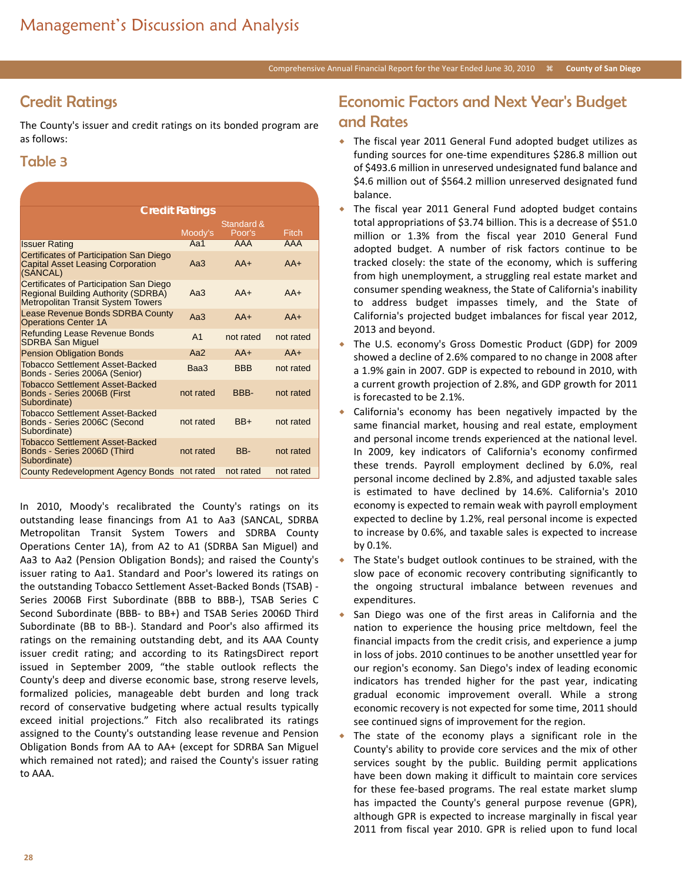# Credit Ratings

The County's issuer and credit ratings on its bonded program are as follows:

### Table 3

| <b>Credit Ratings</b>                                                                                                              |                |                      |            |  |  |  |
|------------------------------------------------------------------------------------------------------------------------------------|----------------|----------------------|------------|--|--|--|
|                                                                                                                                    | Moody's        | Standard &<br>Poor's | Fitch      |  |  |  |
| <b>Issuer Rating</b>                                                                                                               | Aa $1$         | <b>AAA</b>           | <b>AAA</b> |  |  |  |
| Certificates of Participation San Diego<br><b>Capital Asset Leasing Corporation</b><br>(SANCAL)                                    | Aa3            | $AA+$                | $AA+$      |  |  |  |
| Certificates of Participation San Diego<br><b>Regional Building Authority (SDRBA)</b><br><b>Metropolitan Transit System Towers</b> | Aa3            | $AA+$                | $AA+$      |  |  |  |
| <b>Lease Revenue Bonds SDRBA County</b><br><b>Operations Center 1A</b>                                                             | Aa3            | $AA+$                | $AA+$      |  |  |  |
| <b>Refunding Lease Revenue Bonds</b><br><b>SDRBA San Miguel</b>                                                                    | A <sub>1</sub> | not rated            | not rated  |  |  |  |
| <b>Pension Obligation Bonds</b>                                                                                                    | Aa $2$         | $AA+$                | $AA+$      |  |  |  |
| <b>Tobacco Settlement Asset-Backed</b><br>Bonds - Series 2006A (Senior)                                                            | Baa3           | <b>BBB</b>           | not rated  |  |  |  |
| <b>Tobacco Settlement Asset-Backed</b><br>Bonds - Series 2006B (First<br>Subordinate)                                              | not rated      | BBB-                 | not rated  |  |  |  |
| <b>Tobacco Settlement Asset-Backed</b><br>Bonds - Series 2006C (Second<br>Subordinate)                                             | not rated      | $BB+$                | not rated  |  |  |  |
| <b>Tobacco Settlement Asset-Backed</b><br>Bonds - Series 2006D (Third<br>Subordinate)                                              | not rated      | BB-                  | not rated  |  |  |  |
| County Redevelopment Agency Bonds                                                                                                  | not rated      | not rated            | not rated  |  |  |  |

In 2010, Moody's recalibrated the County's ratings on its outstanding lease financings from A1 to Aa3 (SANCAL, SDRBA Metropolitan Transit System Towers and SDRBA County Operations Center 1A), from A2 to A1 (SDRBA San Miguel) and Aa3 to Aa2 (Pension Obligation Bonds); and raised the County's issuer rating to Aa1. Standard and Poor's lowered its ratings on the outstanding Tobacco Settlement Asset-Backed Bonds (TSAB) - Series 2006B First Subordinate (BBB to BBB-), TSAB Series C Second Subordinate (BBB- to BB+) and TSAB Series 2006D Third Subordinate (BB to BB-). Standard and Poor's also affirmed its ratings on the remaining outstanding debt, and its AAA County issuer credit rating; and according to its RatingsDirect report issued in September 2009, "the stable outlook reflects the County's deep and diverse economic base, strong reserve levels, formalized policies, manageable debt burden and long track record of conservative budgeting where actual results typically exceed initial projections." Fitch also recalibrated its ratings assigned to the County's outstanding lease revenue and Pension Obligation Bonds from AA to AA+ (except for SDRBA San Miguel which remained not rated); and raised the County's issuer rating to AAA.

## Economic Factors and Next Year's Budget and Rates

- The fiscal year 2011 General Fund adopted budget utilizes as funding sources for one-time expenditures \$286.8 million out of \$493.6 million in unreserved undesignated fund balance and \$4.6 million out of \$564.2 million unreserved designated fund balance.
- The fiscal year 2011 General Fund adopted budget contains total appropriations of \$3.74 billion. This is a decrease of \$51.0 million or 1.3% from the fiscal year 2010 General Fund adopted budget. A number of risk factors continue to be tracked closely: the state of the economy, which is suffering from high unemployment, a struggling real estate market and consumer spending weakness, the State of California's inability to address budget impasses timely, and the State of California's projected budget imbalances for fiscal year 2012, 2013 and beyond.
- The U.S. economy's Gross Domestic Product (GDP) for 2009 showed a decline of 2.6% compared to no change in 2008 after a 1.9% gain in 2007. GDP is expected to rebound in 2010, with a current growth projection of 2.8%, and GDP growth for 2011 is forecasted to be 2.1%.
- California's economy has been negatively impacted by the same financial market, housing and real estate, employment and personal income trends experienced at the national level. In 2009, key indicators of California's economy confirmed these trends. Payroll employment declined by 6.0%, real personal income declined by 2.8%, and adjusted taxable sales is estimated to have declined by 14.6%. California's 2010 economy is expected to remain weak with payroll employment expected to decline by 1.2%, real personal income is expected to increase by 0.6%, and taxable sales is expected to increase by 0.1%.
- The State's budget outlook continues to be strained, with the slow pace of economic recovery contributing significantly to the ongoing structural imbalance between revenues and expenditures.
- San Diego was one of the first areas in California and the nation to experience the housing price meltdown, feel the financial impacts from the credit crisis, and experience a jump in loss of jobs. 2010 continues to be another unsettled year for our region's economy. San Diego's index of leading economic indicators has trended higher for the past year, indicating gradual economic improvement overall. While a strong economic recovery is not expected for some time, 2011 should see continued signs of improvement for the region.
- The state of the economy plays a significant role in the County's ability to provide core services and the mix of other services sought by the public. Building permit applications have been down making it difficult to maintain core services for these fee-based programs. The real estate market slump has impacted the County's general purpose revenue (GPR), although GPR is expected to increase marginally in fiscal year 2011 from fiscal year 2010. GPR is relied upon to fund local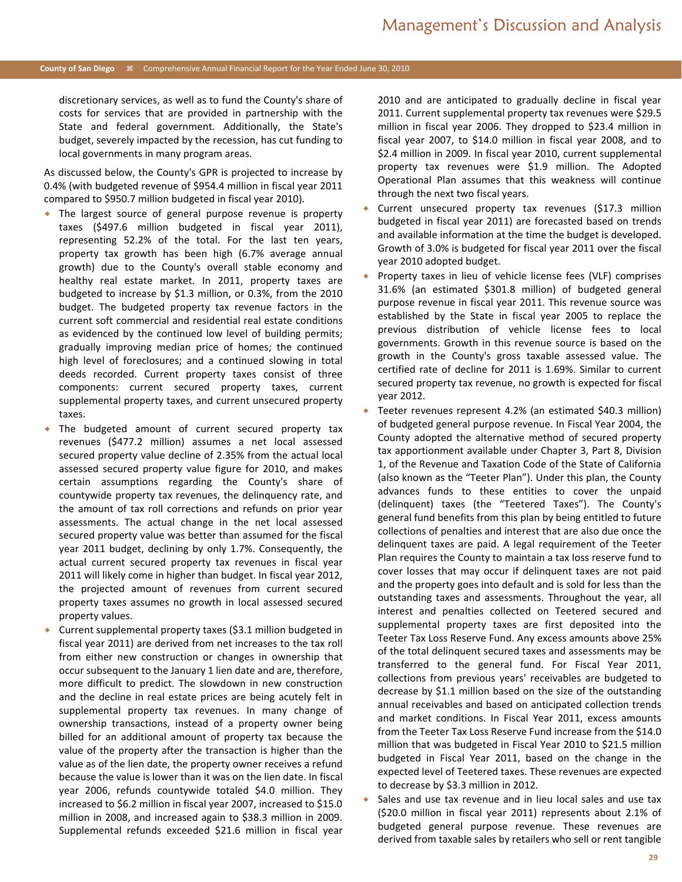discretionary services, as well as to fund the County's share of costs for services that are provided in partnership with the State and federal government. Additionally, the State's budget, severely impacted by the recession, has cut funding to local governments in many program areas.

As discussed below, the County's GPR is projected to increase by 0.4% (with budgeted revenue of \$954.4 million in fiscal year 2011 compared to \$950.7 million budgeted in fiscal year 2010).

- The largest source of general purpose revenue is property taxes (\$497.6 million budgeted in fiscal year 2011), representing 52.2% of the total. For the last ten years, property tax growth has been high (6.7% average annual growth) due to the County's overall stable economy and healthy real estate market. In 2011, property taxes are budgeted to increase by \$1.3 million, or 0.3%, from the 2010 budget. The budgeted property tax revenue factors in the current soft commercial and residential real estate conditions as evidenced by the continued low level of building permits; gradually improving median price of homes; the continued high level of foreclosures; and a continued slowing in total deeds recorded. Current property taxes consist of three components: current secured property taxes, current supplemental property taxes, and current unsecured property taxes.
- The budgeted amount of current secured property tax revenues (\$477.2 million) assumes a net local assessed secured property value decline of 2.35% from the actual local assessed secured property value figure for 2010, and makes certain assumptions regarding the County's share of countywide property tax revenues, the delinquency rate, and the amount of tax roll corrections and refunds on prior year assessments. The actual change in the net local assessed secured property value was better than assumed for the fiscal year 2011 budget, declining by only 1.7%. Consequently, the actual current secured property tax revenues in fiscal year 2011 will likely come in higher than budget. In fiscal year 2012, the projected amount of revenues from current secured property taxes assumes no growth in local assessed secured property values.
- Current supplemental property taxes (\$3.1 million budgeted in fiscal year 2011) are derived from net increases to the tax roll from either new construction or changes in ownership that occur subsequent to the January 1 lien date and are, therefore, more difficult to predict. The slowdown in new construction and the decline in real estate prices are being acutely felt in supplemental property tax revenues. In many change of ownership transactions, instead of a property owner being billed for an additional amount of property tax because the value of the property after the transaction is higher than the value as of the lien date, the property owner receives a refund because the value is lower than it was on the lien date. In fiscal year 2006, refunds countywide totaled \$4.0 million. They increased to \$6.2 million in fiscal year 2007, increased to \$15.0 million in 2008, and increased again to \$38.3 million in 2009. Supplemental refunds exceeded \$21.6 million in fiscal year

2010 and are anticipated to gradually decline in fiscal year 2011. Current supplemental property tax revenues were \$29.5 million in fiscal year 2006. They dropped to \$23.4 million in fiscal year 2007, to \$14.0 million in fiscal year 2008, and to \$2.4 million in 2009. In fiscal year 2010, current supplemental property tax revenues were \$1.9 million. The Adopted Operational Plan assumes that this weakness will continue through the next two fiscal years.

- Current unsecured property tax revenues (\$17.3 million budgeted in fiscal year 2011) are forecasted based on trends and available information at the time the budget is developed. Growth of 3.0% is budgeted for fiscal year 2011 over the fiscal year 2010 adopted budget.
- Property taxes in lieu of vehicle license fees (VLF) comprises 31.6% (an estimated \$301.8 million) of budgeted general purpose revenue in fiscal year 2011. This revenue source was established by the State in fiscal year 2005 to replace the previous distribution of vehicle license fees to local governments. Growth in this revenue source is based on the growth in the County's gross taxable assessed value. The certified rate of decline for 2011 is 1.69%. Similar to current secured property tax revenue, no growth is expected for fiscal year 2012.
- Teeter revenues represent 4.2% (an estimated \$40.3 million) of budgeted general purpose revenue. In Fiscal Year 2004, the County adopted the alternative method of secured property tax apportionment available under Chapter 3, Part 8, Division 1, of the Revenue and Taxation Code of the State of California (also known as the "Teeter Plan"). Under this plan, the County advances funds to these entities to cover the unpaid (delinquent) taxes (the "Teetered Taxes"). The County's general fund benefits from this plan by being entitled to future collections of penalties and interest that are also due once the delinquent taxes are paid. A legal requirement of the Teeter Plan requires the County to maintain a tax loss reserve fund to cover losses that may occur if delinquent taxes are not paid and the property goes into default and is sold for less than the outstanding taxes and assessments. Throughout the year, all interest and penalties collected on Teetered secured and supplemental property taxes are first deposited into the Teeter Tax Loss Reserve Fund. Any excess amounts above 25% of the total delinquent secured taxes and assessments may be transferred to the general fund. For Fiscal Year 2011, collections from previous years' receivables are budgeted to decrease by \$1.1 million based on the size of the outstanding annual receivables and based on anticipated collection trends and market conditions. In Fiscal Year 2011, excess amounts from the Teeter Tax Loss Reserve Fund increase from the \$14.0 million that was budgeted in Fiscal Year 2010 to \$21.5 million budgeted in Fiscal Year 2011, based on the change in the expected level of Teetered taxes. These revenues are expected to decrease by \$3.3 million in 2012.
- Sales and use tax revenue and in lieu local sales and use tax (\$20.0 million in fiscal year 2011) represents about 2.1% of budgeted general purpose revenue. These revenues are derived from taxable sales by retailers who sell or rent tangible